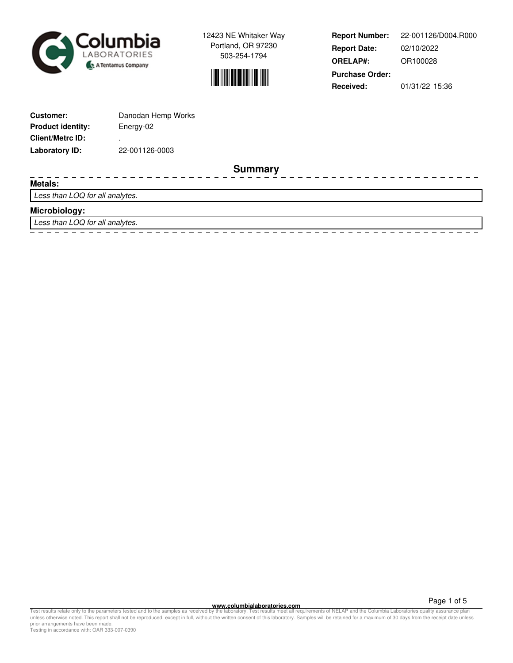



**Report Number: Report Date: ORELAP#:** 02/10/2022 OR100028 **Received:** 01/31/22 15:36 **Purchase Order:** 22-001126/D004.R000

Ξ

 $\overline{\phantom{0}}$ 

| <b>Customer:</b>         | Danodan Hemp Works |
|--------------------------|--------------------|
| <b>Product identity:</b> | Energy-02          |
| <b>Client/Metrc ID:</b>  | ٠                  |
| Laboratory ID:           | 22-001126-0003     |

**Summary**

#### **Metals:**

Less than LOQ for all analytes.

## **Microbiology:**

Less than LOQ for all analytes.

**www.columbialaboratories.com**

Page 1 of 5

Test results relate only to the parameters tested and to the samples as received by the laboratory. Test results meet all requirements of NELAP and the Columbia Laboratories quality assurance plan<br>unless otherwise noted. T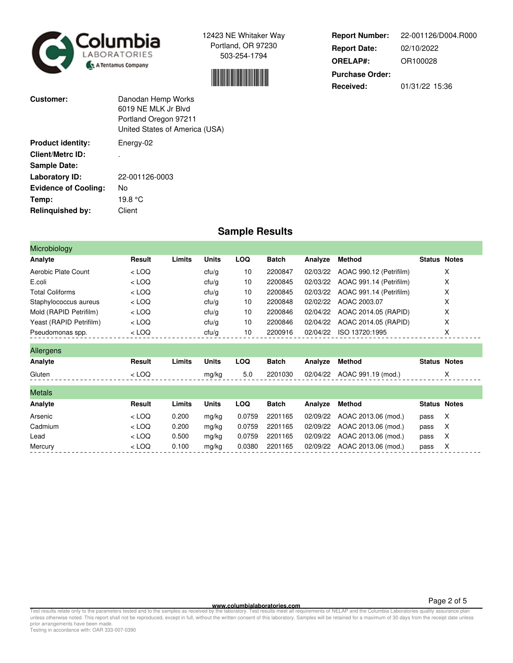



**Report Number: Report Date: ORELAP#:** 02/10/2022 OR100028 **Received:** 01/31/22 15:36 **Purchase Order:** 22-001126/D004.R000

| Customer:                   | Danodan Hemp Works<br>6019 NF MLK Jr Blvd<br>Portland Oregon 97211<br>United States of America (USA) |
|-----------------------------|------------------------------------------------------------------------------------------------------|
| <b>Product identity:</b>    | Energy-02                                                                                            |
| <b>Client/Metrc ID:</b>     |                                                                                                      |
| <b>Sample Date:</b>         |                                                                                                      |
| Laboratory ID:              | 22-001126-0003                                                                                       |
| <b>Evidence of Cooling:</b> | No                                                                                                   |
| Temp:                       | 19.8 °C                                                                                              |
| Relinquished by:            | Client                                                                                               |

# **Sample Results**

| Microbiology            |         |        |              |            |              |          |                         |                     |   |
|-------------------------|---------|--------|--------------|------------|--------------|----------|-------------------------|---------------------|---|
| Analyte                 | Result  | Limits | <b>Units</b> | <b>LOQ</b> | <b>Batch</b> | Analyze  | <b>Method</b>           | <b>Status Notes</b> |   |
| Aerobic Plate Count     | $<$ LOQ |        | ctu/g        | 10         | 2200847      | 02/03/22 | AOAC 990.12 (Petrifilm) |                     | X |
| E.coli                  | $<$ LOQ |        | ctu/g        | 10         | 2200845      | 02/03/22 | AOAC 991.14 (Petrifilm) |                     | х |
| <b>Total Coliforms</b>  | $<$ LOQ |        | ctu/g        | 10         | 2200845      | 02/03/22 | AOAC 991.14 (Petrifilm) |                     | X |
| Staphylococcus aureus   | $<$ LOQ |        | ctu/g        | 10         | 2200848      | 02/02/22 | AOAC 2003.07            |                     | X |
| Mold (RAPID Petrifilm)  | $<$ LOQ |        | ctu/g        | 10         | 2200846      | 02/04/22 | AOAC 2014.05 (RAPID)    |                     | X |
| Yeast (RAPID Petrifilm) | $<$ LOQ |        | ctu/g        | 10         | 2200846      | 02/04/22 | AOAC 2014.05 (RAPID)    |                     | X |
| Pseudomonas spp.        | $<$ LOQ |        | ctu/g        | 10         | 2200916      | 02/04/22 | ISO 13720:1995          |                     | X |
| Allergens               |         |        |              |            |              |          |                         |                     |   |
| Analyte                 | Result  | Limits | <b>Units</b> | <b>LOQ</b> | <b>Batch</b> | Analyze  | <b>Method</b>           | <b>Status Notes</b> |   |
| Gluten                  | $<$ LOQ |        | mg/kg        | 5.0        | 2201030      | 02/04/22 | AOAC 991.19 (mod.)      |                     | X |
| <b>Metals</b>           |         |        |              |            |              |          |                         |                     |   |
| Analyte                 | Result  | Limits | <b>Units</b> | <b>LOQ</b> | <b>Batch</b> | Analyze  | <b>Method</b>           | <b>Status Notes</b> |   |
| Arsenic                 | $<$ LOQ | 0.200  | mg/kg        | 0.0759     | 2201165      | 02/09/22 | AOAC 2013.06 (mod.)     | pass                | X |
| Cadmium                 | $<$ LOQ | 0.200  | mg/kg        | 0.0759     | 2201165      | 02/09/22 | AOAC 2013.06 (mod.)     | pass                | X |
| Lead                    | $<$ LOQ | 0.500  | mg/kg        | 0.0759     | 2201165      | 02/09/22 | AOAC 2013.06 (mod.)     | pass                | X |
| Mercury                 | $<$ LOQ | 0.100  | mg/kg        | 0.0380     | 2201165      | 02/09/22 | AOAC 2013.06 (mod.)     | pass                | Х |

**WWW.columbialaboratories.com**<br>unless otherwise noted. This report shall not be reproduced, except in full, without the varitten consent of this laboratory. Test results meet all requirements of NELAP and the Columbia Labo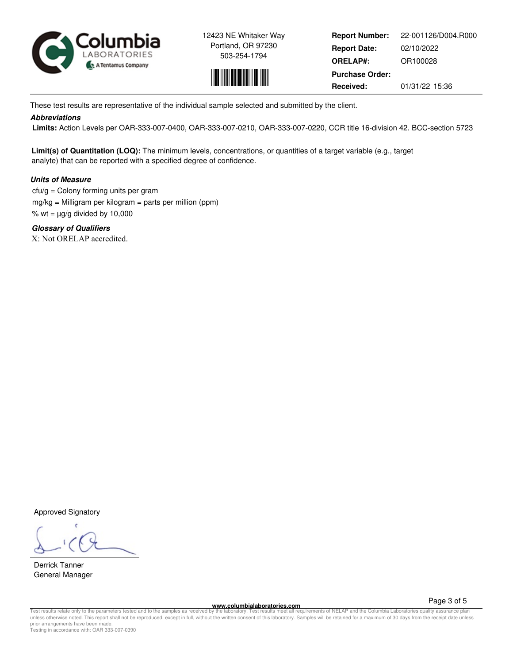



**Report Number: Report Date: ORELAP#:** 02/10/2022 OR100028 **Received:** 01/31/22 15:36 **Purchase Order:** 22-001126/D004.R000

These test results are representative of the individual sample selected and submitted by the client.

### **Abbreviations**

 **Limits:** Action Levels per OAR-333-007-0400, OAR-333-007-0210, OAR-333-007-0220, CCR title 16-division 42. BCC-section 5723

**Limit(s) of Quantitation (LOQ):** The minimum levels, concentrations, or quantities of a target variable (e.g., target analyte) that can be reported with a specified degree of confidence.

# **Units of Measure**

 $ctu/g =$  Colony forming units per gram mg/kg = Milligram per kilogram = parts per million (ppm) % wt =  $\mu$ g/g divided by 10,000

**Glossary of Qualifiers** X: Not ORELAP accredited.

Approved Signatory

Derrick Tanner General Manager

**www.columbialaboratories.com**

Page 3 of 5

Test results relate only to the parameters tested and to the samples as received by the laboratory. Test results meet all requirements of NELAP and the Columbia Laboratories quality assurance plan<br>unless otherwise noted. T prior arrangements have been made. Testing in accordance with: OAR 333-007-0390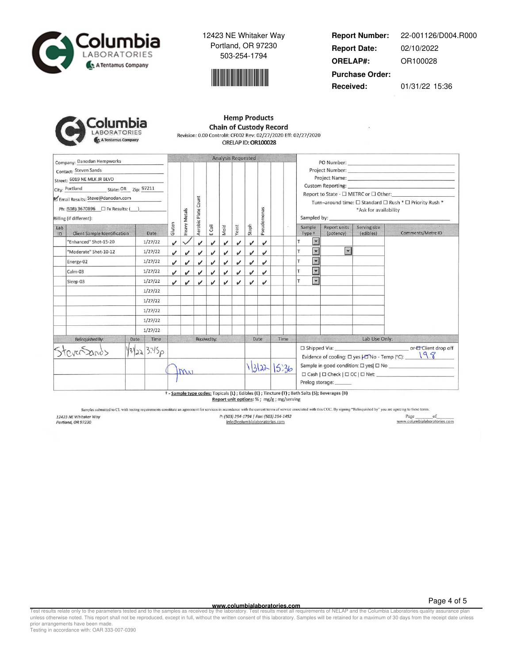



**Report Number: Report Date: ORELAP#:** 02/10/2022 OR100028 **Received:** 01/31/22 15:36 **Purchase Order:** 22-001126/D004.R000

| plumbia            |
|--------------------|
| LABORATORIES       |
| A Tentamus Company |

#### **Hemp Products Chain of Custody Record** Revision: 0.00 Control#: CF002 Rev: 02/27/2020 Eff: 02/27/2020 ORELAP ID: OR100028

|                                                                                                                                                                                                   | Company: Danodan Hempworks   |              |              |                            |                            |                    |      | Analysis Requested |             |      |       |                                                                                                                                                                                                                                                                                                                                                                                                        |                                                                                              |                           |                           |                   |
|---------------------------------------------------------------------------------------------------------------------------------------------------------------------------------------------------|------------------------------|--------------|--------------|----------------------------|----------------------------|--------------------|------|--------------------|-------------|------|-------|--------------------------------------------------------------------------------------------------------------------------------------------------------------------------------------------------------------------------------------------------------------------------------------------------------------------------------------------------------------------------------------------------------|----------------------------------------------------------------------------------------------|---------------------------|---------------------------|-------------------|
| Contact: Steven Sands<br>Street: 6019 NE MLK JR BLVD<br>City: Portland State: OR Zip: 97211<br>Email Results: Steve@danodan.com<br>Ph: (508) 3670896 □ Fx Results: ( )<br>Billing (if different): |                              |              | Heavy Metals | Count<br>Aerobic Plate     |                            |                    |      |                    | Pseudomonas |      |       | PO Number: North Commission of the Commission of the Commission of the Commission of the Commission of the Commission of the Commission of the Commission of the Commission of the Commission of the Commission of the Commiss<br>Report to State - $\Box$ METRC or $\Box$ Other:<br>Turn-around time: □ Standard □ Rush * □ Priority Rush *<br>*Ask for availability<br>Sampled by: Sample Sample By: |                                                                                              |                           |                           |                   |
| Lab<br>ID                                                                                                                                                                                         | Client Sample Identification | Date         | Gluten       |                            |                            | E Coli             | Mold | Yeast              | Staph       |      |       | Sample<br>Type +                                                                                                                                                                                                                                                                                                                                                                                       |                                                                                              | Report units<br>(potency) | Serving size<br>(edibles) | Comments/Metrc ID |
|                                                                                                                                                                                                   | "Enhanced" Shot-15-20        | 1/27/22      | $\checkmark$ |                            | $\boldsymbol{\mathcal{U}}$ | $\boldsymbol{\nu}$ | ✓    | $\checkmark$       | v           | J    |       |                                                                                                                                                                                                                                                                                                                                                                                                        | $\overline{\phantom{a}}$                                                                     |                           |                           |                   |
|                                                                                                                                                                                                   | "Moderate" Shot-10-12        | 1/27/22      | v            | $\checkmark$               | v                          | J                  | ✓    | J                  | ✓           | √    |       | T                                                                                                                                                                                                                                                                                                                                                                                                      | $\blacktriangleleft$                                                                         | $\blacktriangledown$      |                           |                   |
|                                                                                                                                                                                                   | Energy-02                    | 1/27/22      | J            | v                          | v                          | v                  | J    | $\boldsymbol{\nu}$ | v           | v    |       |                                                                                                                                                                                                                                                                                                                                                                                                        | $\blacktriangledown$                                                                         |                           |                           |                   |
|                                                                                                                                                                                                   | Calm-03                      | 1/27/22      | J            | $\boldsymbol{\mathcal{U}}$ | $\checkmark$               | v                  | ✓    | ✓                  | J           | v    |       | T                                                                                                                                                                                                                                                                                                                                                                                                      | $\blacktriangleright$                                                                        |                           |                           |                   |
|                                                                                                                                                                                                   | Sleep-03                     | 1/27/22      | J            | v                          | v                          | ✓                  | J    | ✓                  | v           | v    |       | T                                                                                                                                                                                                                                                                                                                                                                                                      | $\blacktriangledown$                                                                         |                           |                           |                   |
|                                                                                                                                                                                                   |                              | 1/27/22      |              |                            |                            |                    |      |                    |             |      |       |                                                                                                                                                                                                                                                                                                                                                                                                        |                                                                                              |                           |                           |                   |
|                                                                                                                                                                                                   |                              | 1/27/22      |              |                            |                            |                    |      |                    |             |      |       |                                                                                                                                                                                                                                                                                                                                                                                                        |                                                                                              |                           |                           |                   |
|                                                                                                                                                                                                   |                              | 1/27/22      |              |                            |                            |                    |      |                    |             |      |       |                                                                                                                                                                                                                                                                                                                                                                                                        |                                                                                              |                           |                           |                   |
|                                                                                                                                                                                                   |                              | 1/27/22      |              |                            |                            |                    |      |                    |             |      |       |                                                                                                                                                                                                                                                                                                                                                                                                        |                                                                                              |                           |                           |                   |
|                                                                                                                                                                                                   |                              | 1/27/22      |              |                            |                            |                    |      |                    |             |      |       |                                                                                                                                                                                                                                                                                                                                                                                                        |                                                                                              |                           |                           |                   |
|                                                                                                                                                                                                   | Relinquished By:             | Time<br>Date |              |                            |                            | Received by:       |      |                    |             | Date | Time  |                                                                                                                                                                                                                                                                                                                                                                                                        |                                                                                              |                           | Lab Use Only:             |                   |
|                                                                                                                                                                                                   |                              | 13223.3.450  |              | Mw                         |                            |                    |      |                    |             | 1322 | 15.36 |                                                                                                                                                                                                                                                                                                                                                                                                        | Evidence of cooling: $\Box$ yes $\Box$ No - Temp (°C): $\Box$ 9.8<br>Prelog storage: _______ |                           |                           |                   |

† - Sample type codes: Topicals (L) ; Edibles (E) ; Tincture (T) ; Bath Salts (S); Beverages (B) Report unit options: % ; mg/g ; mg/serving

Samples submitted to CL with testing requirements constitute an agreement for services in accordance with the current terms of service associated with this COC. By signing "Relinquished by" you are agreeing to these terms.

12423 NE Whitaker Way<br>Portland, OR 97230

P: (503) 254-1794 | Fax: (503) 254-1452 info@columbialaboratories.com

 $\begin{tabular}{c} Page \hspace{0.2cm} of \\ \hline www.columbiaaboratories.com \\ \end{tabular}$ 

**WWW.columbialaboratories.com**<br>unless otherwise noted. This report shall not be reproduced, except in full, without the varitten consent of this laboratory. Test results meet all requirements of NELAP and the Columbia Labo